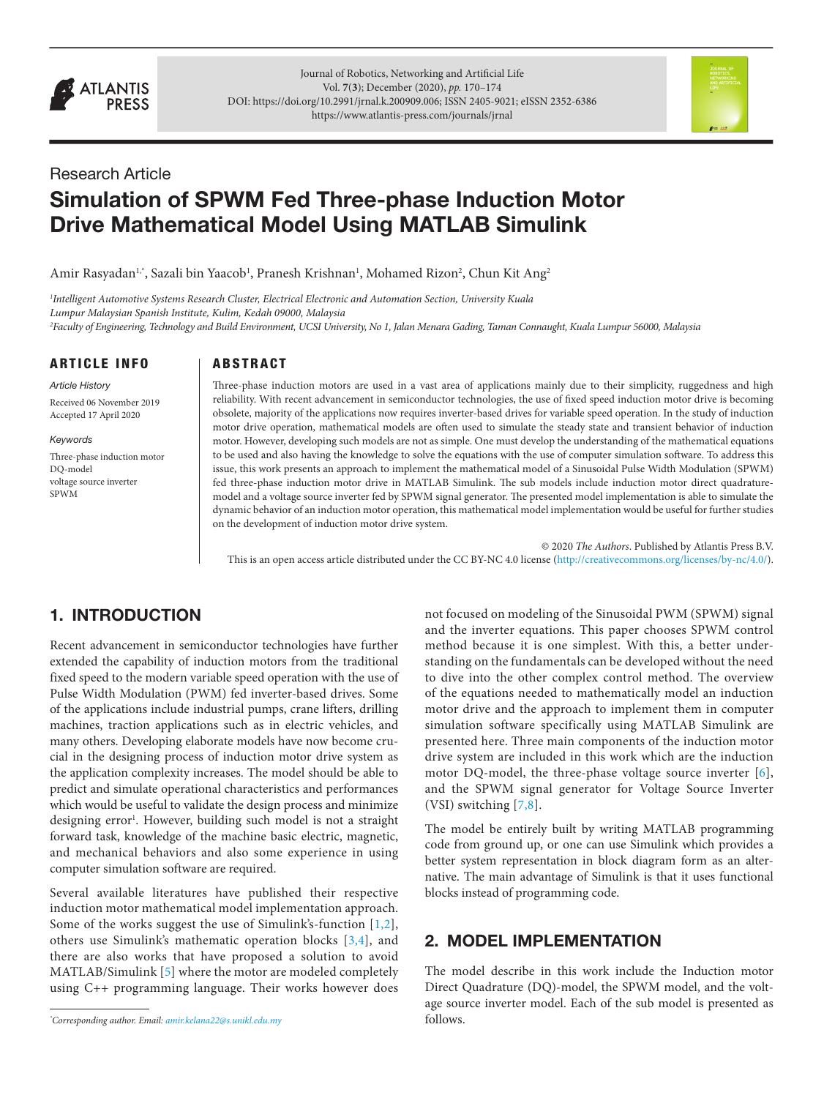

Journal of Robotics, Networking and Artificial Life Vol. **7**(**3**); December (2020), *pp.* 170–174 DOI: [https://doi.org/10.2991/jrnal.k.200909.006;](https://doi.org/10.2991/jrnal.k.200909.006) ISSN 2405-9021; eISSN 2352-6386 <https://www.atlantis-press.com/journals/jrnal>



# Research Article

# Simulation of SPWM Fed Three-phase Induction Motor Drive Mathematical Model Using MATLAB Simulink

Amir Rasyadan<sup>ı,</sup>\*, Sazali bin Yaacob<sup>ı</sup>, Pranesh Krishnan<sup>ı</sup>, Mohamed Rizon<sup>2</sup>, Chun Kit Ang<sup>2</sup>

*1 Intelligent Automotive Systems Research Cluster, Electrical Electronic and Automation Section, University Kuala Lumpur Malaysian Spanish Institute, Kulim, Kedah 09000, Malaysia 2 Faculty of Engineering, Technology and Build Environment, UCSI University, No 1, Jalan Menara Gading, Taman Connaught, Kuala Lumpur 56000, Malaysia*

ARTICLE INFO

**ARSTRACT** 

*Article History* Received 06 November 2019 Accepted 17 April 2020

#### *Keywords*

Three-phase induction motor DQ-model voltage source inverter SPWM

Three-phase induction motors are used in a vast area of applications mainly due to their simplicity, ruggedness and high reliability. With recent advancement in semiconductor technologies, the use of fixed speed induction motor drive is becoming obsolete, majority of the applications now requires inverter-based drives for variable speed operation. In the study of induction motor drive operation, mathematical models are often used to simulate the steady state and transient behavior of induction motor. However, developing such models are not as simple. One must develop the understanding of the mathematical equations to be used and also having the knowledge to solve the equations with the use of computer simulation software. To address this issue, this work presents an approach to implement the mathematical model of a Sinusoidal Pulse Width Modulation (SPWM) fed three-phase induction motor drive in MATLAB Simulink. The sub models include induction motor direct quadraturemodel and a voltage source inverter fed by SPWM signal generator. The presented model implementation is able to simulate the dynamic behavior of an induction motor operation, this mathematical model implementation would be useful for further studies on the development of induction motor drive system.

© 2020 *The Authors*. Published by Atlantis Press B.V. This is an open access article distributed under the CC BY-NC 4.0 license ([http://creativecommons.org/licenses/by-nc/4.0/\)](http://creativecommons.org/licenses/by-nc/4.0/).

# 1. INTRODUCTION

Recent advancement in semiconductor technologies have further extended the capability of induction motors from the traditional fixed speed to the modern variable speed operation with the use of Pulse Width Modulation (PWM) fed inverter-based drives. Some of the applications include industrial pumps, crane lifters, drilling machines, traction applications such as in electric vehicles, and many others. Developing elaborate models have now become crucial in the designing process of induction motor drive system as the application complexity increases. The model should be able to predict and simulate operational characteristics and performances which would be useful to validate the design process and minimize designing error<sup>1</sup>. However, building such model is not a straight forward task, knowledge of the machine basic electric, magnetic, and mechanical behaviors and also some experience in using computer simulation software are required.

Several available literatures have published their respective induction motor mathematical model implementation approach. Some of the works suggest the use of Simulink's-function [[1](#page-3-0),[2](#page-3-1)], others use Simulink's mathematic operation blocks [[3,](#page-3-2)[4\]](#page-3-3), and there are also works that have proposed a solution to avoid MATLAB/Simulink [[5\]](#page-3-4) where the motor are modeled completely using C++ programming language. Their works however does

*\* Corresponding author. Email: [amir.kelana22@s.unikl.edu.my](mailto:amir.kelana22%40s.unikl.edu.my?subject=)*

not focused on modeling of the Sinusoidal PWM (SPWM) signal and the inverter equations. This paper chooses SPWM control method because it is one simplest. With this, a better understanding on the fundamentals can be developed without the need to dive into the other complex control method. The overview of the equations needed to mathematically model an induction motor drive and the approach to implement them in computer simulation software specifically using MATLAB Simulink are presented here. Three main components of the induction motor drive system are included in this work which are the induction motor DQ-model, the three-phase voltage source inverter [[6\]](#page-3-5), and the SPWM signal generator for Voltage Source Inverter (VSI) switching [\[7](#page-3-6)[,8](#page-3-7)].

<span id="page-0-8"></span><span id="page-0-7"></span><span id="page-0-6"></span>The model be entirely built by writing MATLAB programming code from ground up, or one can use Simulink which provides a better system representation in block diagram form as an alternative. The main advantage of Simulink is that it uses functional blocks instead of programming code.

# <span id="page-0-4"></span><span id="page-0-3"></span><span id="page-0-2"></span><span id="page-0-1"></span><span id="page-0-0"></span>2. MODEL IMPLEMENTATION

<span id="page-0-5"></span>The model describe in this work include the Induction motor Direct Quadrature (DQ)-model, the SPWM model, and the voltage source inverter model. Each of the sub model is presented as follows.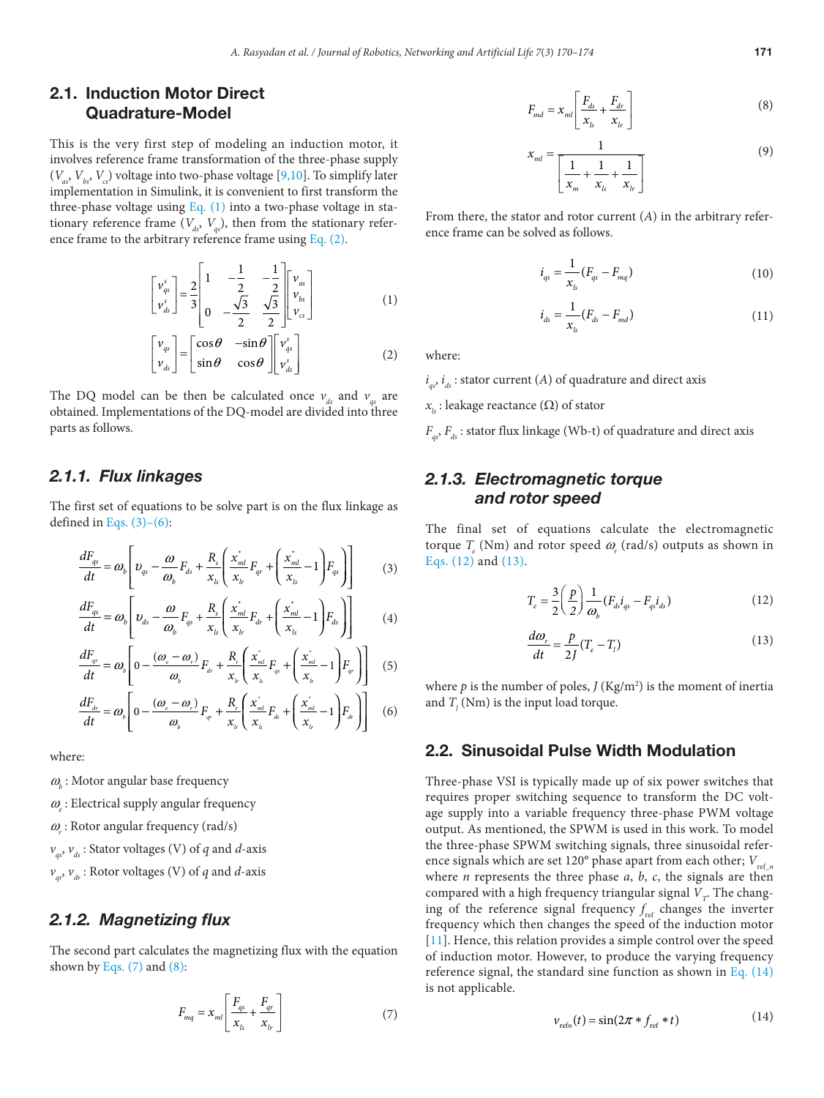# 2.1. Induction Motor Direct Quadrature-Model

This is the very first step of modeling an induction motor, it involves reference frame transformation of the three-phase supply  $(V_a, V_b, V_c)$  voltage into two-phase voltage [[9,](#page-3-8)[10\]](#page-3-9). To simplify later implementation in Simulink, it is convenient to first transform the three-phase voltage using Eq.  $(1)$  into a two-phase voltage in stationary reference frame  $(V_d, V_s)$ , then from the stationary reference frame to the arbitrary reference frame using [Eq. \(2\)](#page-1-1).

$$
\begin{bmatrix} \nu_{qs}^{s} \\ \nu_{ds}^{s} \end{bmatrix} = \frac{2}{3} \begin{bmatrix} 1 & -\frac{1}{2} & -\frac{1}{2} \\ 0 & -\frac{\sqrt{3}}{2} & \frac{\sqrt{3}}{2} \end{bmatrix} \begin{bmatrix} \nu_{as} \\ \nu_{bs} \\ \nu_{cs} \end{bmatrix}
$$
 (1)

<span id="page-1-1"></span><span id="page-1-0"></span>
$$
\begin{bmatrix} v_{qs} \\ v_{ds} \end{bmatrix} = \begin{bmatrix} \cos \theta & -\sin \theta \\ \sin \theta & \cos \theta \end{bmatrix} \begin{bmatrix} v_{qs}^s \\ v_{ds}^s \end{bmatrix}
$$
 (2)

The DQ model can be then be calculated once  $v_{ds}$  and  $v_{gs}$  are obtained. Implementations of the DQ-model are divided into three parts as follows.

#### *2.1.1. Flux linkages*

The first set of equations to be solve part is on the flux linkage as defined in Eqs.  $(3)-(6)$ :

<span id="page-1-2"></span>
$$
\frac{dF_{qs}}{dt} = \omega_b \left[ \upsilon_{qs} - \frac{\omega}{\omega_b} F_{ds} + \frac{R_s}{x_{ls}} \left( \frac{x_{ml}^*}{x_{lr}} F_{qr} + \left( \frac{x_{ml}^*}{x_{ls}} - 1 \right) F_{qs} \right) \right]
$$
(3)

$$
\frac{dF_{qs}}{dt} = \omega_b \left[ \upsilon_{ds} - \frac{\omega}{\omega_b} F_{qs} + \frac{R_s}{x_{ls}} \left( \frac{x_{ml}^*}{x_{lr}} F_{dr} + \left( \frac{x_{ml}^*}{x_{ls}} - 1 \right) F_{ds} \right) \right]
$$
(4)

$$
\frac{dF_{ar}}{dt} = \omega_b \left[ 0 - \frac{(\omega_c - \omega_r)}{\omega_b} F_{ar} + \frac{R_r}{x_h} \left( \frac{\dot{x_{ml}}}{x_s} F_{qs} + \left( \frac{\dot{x_{ml}}}{x_h} - 1 \right) F_{ar} \right) \right]
$$
(5)

<span id="page-1-3"></span>
$$
\frac{dF_{dr}}{dt} = \omega_b \left[ 0 - \frac{(\omega_c - \omega_r)}{\omega_b} F_{qr} + \frac{R_r}{x_h} \left( \frac{x_{ml}^*}{x_{ls}} F_{ds} + \left( \frac{x_{ml}^*}{x_{ls}} - 1 \right) F_{dr} \right) \right]
$$
(6)

where:

- $\omega_{\!b}$  : Motor angular base frequency
- $\omega_{\!e}$  : Electrical supply angular frequency
- $\omega$ <sub>r</sub>: Rotor angular frequency (rad/s)
- $v_{a}$ ,  $v_{d}$  : Stator voltages (V) of *q* and *d*-axis
- $v_q$ ,  $v_q$ : Rotor voltages (V) of *q* and *d*-axis

#### *2.1.2. Magnetizing flux*

The second part calculates the magnetizing flux with the equation shown by Eqs.  $(7)$  and  $(8)$ :

<span id="page-1-4"></span>
$$
F_{mq} = x_{ml} \left[ \frac{F_{qs}}{x_{ls}} + \frac{F_{qr}}{x_{lr}} \right] \tag{7}
$$

<span id="page-1-5"></span>
$$
F_{md} = x_{ml} \left[ \frac{F_{ds}}{x_{ls}} + \frac{F_{dr}}{x_{lr}} \right]
$$
 (8)

<span id="page-1-10"></span><span id="page-1-9"></span>
$$
x_{ml} = \frac{1}{\left[\frac{1}{x_m} + \frac{1}{x_{ls}} + \frac{1}{x_{lr}}\right]}
$$
(9)

From there, the stator and rotor current (*A*) in the arbitrary reference frame can be solved as follows.

$$
i_{qs} = \frac{1}{x_{ls}} (F_{qs} - F_{mq})
$$
\n(10)

$$
i_{ds} = \frac{1}{x_{ls}} (F_{ds} - F_{md})
$$
\n(11)

where:

 $i_{qs}$ ,  $i_{ds}$ : stator current (*A*) of quadrature and direct axis

 $x_{i}$ : leakage reactance ( $\Omega$ ) of stator

 $F_{a}$ ,  $F_{d}$  : stator flux linkage (Wb-t) of quadrature and direct axis

# *2.1.3. Electromagnetic torque and rotor speed*

The final set of equations calculate the electromagnetic torque  $T_e$  (Nm) and rotor speed  $\omega_r$  (rad/s) outputs as shown in [Eqs. \(12\)](#page-1-6) and [\(13\)](#page-1-7).

<span id="page-1-6"></span>
$$
T_e = \frac{3}{2} \left( \frac{p}{2} \right) \frac{1}{\omega_b} (F_{ds} i_{qs} - F_{qs} i_{ds})
$$
 (12)

<span id="page-1-7"></span>
$$
\frac{d\omega_r}{dt} = \frac{p}{2J}(T_e - T_l) \tag{13}
$$

where  $p$  is the number of poles,  $J(Kg/m^2)$  is the moment of inertia and  $T_l$  (Nm) is the input load torque.

#### 2.2. Sinusoidal Pulse Width Modulation

Three-phase VSI is typically made up of six power switches that requires proper switching sequence to transform the DC voltage supply into a variable frequency three-phase PWM voltage output. As mentioned, the SPWM is used in this work. To model the three-phase SPWM switching signals, three sinusoidal reference signals which are set 120° phase apart from each other;  $V_{refn}$ where *n* represents the three phase *a*, *b*, *c*, the signals are then compared with a high frequency triangular signal  $\boldsymbol{V}_{r^*}$  The changing of the reference signal frequency  $f_{ref}$  changes the inverter frequency which then changes the speed of the induction motor [11]. Hence, this relation provides a simple control over the speed of induction motor. However, to produce the varying frequency reference signal, the standard sine function as shown in Eq.  $(14)$ is not applicable.

<span id="page-1-11"></span><span id="page-1-8"></span>
$$
v_{\text{refn}}(t) = \sin(2\pi * f_{\text{ref}} * t) \tag{14}
$$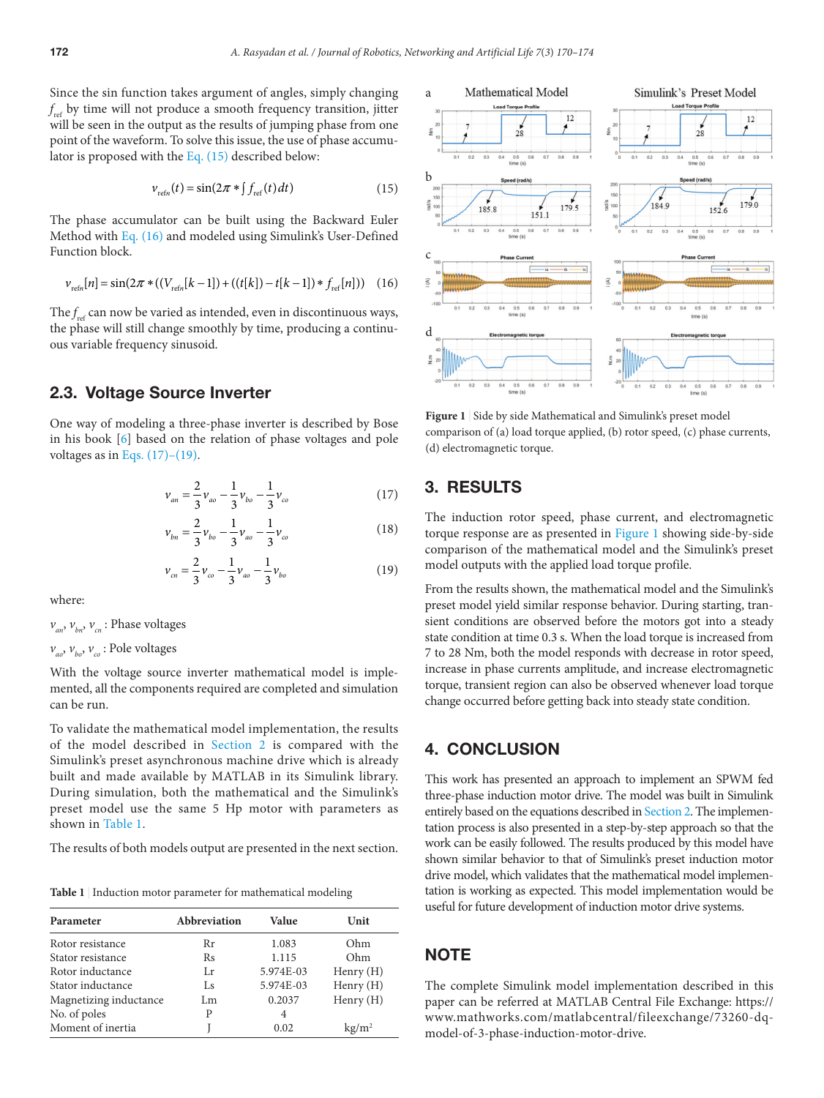Since the sin function takes argument of angles, simply changing *f* ref by time will not produce a smooth frequency transition, jitter will be seen in the output as the results of jumping phase from one point of the waveform. To solve this issue, the use of phase accumulator is proposed with the [Eq. \(15\)](#page-2-0) described below:

<span id="page-2-0"></span>
$$
v_{refn}(t) = \sin(2\pi * \int_{ref}(t)dt)
$$
\n(15)

The phase accumulator can be built using the Backward Euler Method with [Eq. \(16\)](#page-2-1) and modeled using Simulink's User-Defined Function block.

<span id="page-2-1"></span>
$$
v_{\text{refn}}[n] = \sin(2\pi * ((V_{\text{refn}}[k-1]) + ((t[k]) - t[k-1]) * f_{\text{ref}}[n])) \quad (16)
$$

The  $f_{\text{ref}}$  can now be varied as intended, even in discontinuous ways, the phase will still change smoothly by time, producing a continuous variable frequency sinusoid.

### 2.3. Voltage Source Inverter

One way of modeling a three-phase inverter is described by Bose in his book [\[6\]](#page-3-5) based on the relation of phase voltages and pole voltages as in Eqs.  $(17)-(19)$ .

<span id="page-2-2"></span>
$$
\nu_{an} = \frac{2}{3} \nu_{ao} - \frac{1}{3} \nu_{bo} - \frac{1}{3} \nu_{co}
$$
 (17)

$$
\nu_{bn} = \frac{2}{3} \nu_{bo} - \frac{1}{3} \nu_{ao} - \frac{1}{3} \nu_{co}
$$
 (18)

$$
\nu_{cn} = \frac{2}{3} \nu_{co} - \frac{1}{3} \nu_{ao} - \frac{1}{3} \nu_{bo}
$$
 (19)

where:

 $v_{av}$ ,  $v_{av}$ ,  $v_{cr}$ : Phase voltages

 $v_{\alpha}$ ,  $v_{\beta}$ ,  $v_{\gamma}$  : Pole voltages

With the voltage source inverter mathematical model is implemented, all the components required are completed and simulation can be run.

To validate the mathematical model implementation, the results of the model described in [Section 2](#page-0-0) is compared with the Simulink's preset asynchronous machine drive which is already built and made available by MATLAB in its Simulink library. During simulation, both the mathematical and the Simulink's preset model use the same 5 Hp motor with parameters as shown in [Table 1](#page-2-3).

The results of both models output are presented in the next section.

<span id="page-2-3"></span>**Table 1** | Induction motor parameter for mathematical modeling

| Parameter              | Abbreviation | Value     | Unit            |
|------------------------|--------------|-----------|-----------------|
| Rotor resistance       | Rr           | 1.083     | Ohm             |
| Stator resistance      | Rs           | 1.115     | Ohm             |
| Rotor inductance       | Lr           | 5.974E-03 | Henry (H)       |
| Stator inductance      | Ls           | 5.974E-03 | Henry $(H)$     |
| Magnetizing inductance | Lm           | 0.2037    | Henry $(H)$     |
| No. of poles           | P            | 4         |                 |
| Moment of inertia      |              | 0.02      | $\text{kg/m}^2$ |



<span id="page-2-4"></span>Figure 1 | Side by side Mathematical and Simulink's preset model comparison of (a) load torque applied, (b) rotor speed, (c) phase currents, (d) electromagnetic torque.

# 3. RESULTS

The induction rotor speed, phase current, and electromagnetic torque response are as presented in [Figure 1](#page-2-4) showing side-by-side comparison of the mathematical model and the Simulink's preset model outputs with the applied load torque profile.

From the results shown, the mathematical model and the Simulink's preset model yield similar response behavior. During starting, transient conditions are observed before the motors got into a steady state condition at time 0.3 s. When the load torque is increased from 7 to 28 Nm, both the model responds with decrease in rotor speed, increase in phase currents amplitude, and increase electromagnetic torque, transient region can also be observed whenever load torque change occurred before getting back into steady state condition.

# 4. CONCLUSION

This work has presented an approach to implement an SPWM fed three-phase induction motor drive. The model was built in Simulink entirely based on the equations described in [Section 2](#page-0-0). The implementation process is also presented in a step-by-step approach so that the work can be easily followed. The results produced by this model have shown similar behavior to that of Simulink's preset induction motor drive model, which validates that the mathematical model implementation is working as expected. This model implementation would be useful for future development of induction motor drive systems.

### **NOTE**

The complete Simulink model implementation described in this paper can be referred at MATLAB Central File Exchange: https:// www.mathworks.com/matlabcentral/fileexchange/73260-dqmodel-of-3-phase-induction-motor-drive.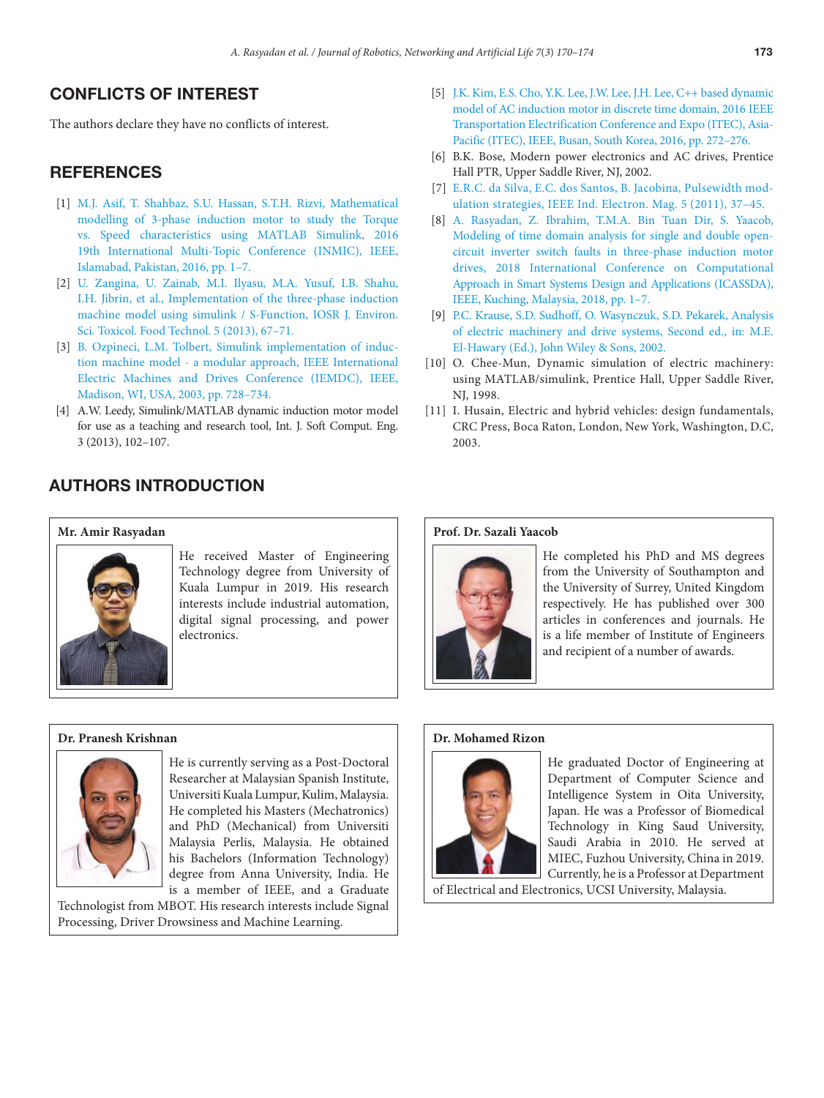# CONFLICTS OF INTEREST

The authors declare they have no conflicts of interest.

# **REFERENCES**

- <span id="page-3-0"></span>[\[1\]](#page-0-1) [M.J. Asif, T. Shahbaz, S.U. Hassan, S.T.H. Rizvi, Mathematical](https://doi.org/10.1109/INMIC.2016.7840144) [modelling of 3-phase induction motor to study the Torque](https://doi.org/10.1109/INMIC.2016.7840144) [vs. Speed characteristics using MATLAB Simulink, 2016](https://doi.org/10.1109/INMIC.2016.7840144) [19th International Multi-Topic Conference \(INMIC\), IEEE,](https://doi.org/10.1109/INMIC.2016.7840144) [Islamabad, Pakistan, 2016, pp. 1–7.](https://doi.org/10.1109/INMIC.2016.7840144)
- <span id="page-3-1"></span>[\[2\]](#page-0-2) [U. Zangina, U. Zainab, M.I. Ilyasu, M.A. Yusuf, I.B. Shahu,](https://doi.org/10.9790/2402-0536771) [I.H. Jibrin, et al., Implementation of the three-phase induction](https://doi.org/10.9790/2402-0536771) [machine model using simulink / S-Function, IOSR J. Environ.](https://doi.org/10.9790/2402-0536771) [Sci. Toxicol. Food Technol. 5 \(2013\), 67–71.](https://doi.org/10.9790/2402-0536771)
- <span id="page-3-2"></span>[\[3\]](#page-0-3) [B. Ozpineci, L.M. Tolbert, Simulink implementation of induc](https://doi.org/10.1109/IEMDC.2003.1210317)[tion machine model - a modular approach, IEEE International](https://doi.org/10.1109/IEMDC.2003.1210317)  [Electric Machines and Drives Conference \(IEMDC\), IEEE,](https://doi.org/10.1109/IEMDC.2003.1210317)  [Madison, WI, USA, 2003, pp. 728–734.](https://doi.org/10.1109/IEMDC.2003.1210317)
- <span id="page-3-3"></span>[\[4\]](#page-0-4) A.W. Leedy, Simulink/MATLAB dynamic induction motor model for use as a teaching and research tool, Int. J. Soft Comput. Eng. 3 (2013), 102–107.

# AUTHORS INTRODUCTION

#### **Mr. Amir Rasyadan**



He received Master of Engineering Technology degree from University of Kuala Lumpur in 2019. His research interests include industrial automation, digital signal processing, and power electronics.

#### **Dr. Pranesh Krishnan**



He is currently serving as a Post-Doctoral Researcher at Malaysian Spanish Institute, Universiti Kuala Lumpur, Kulim, Malaysia. He completed his Masters (Mechatronics) and PhD (Mechanical) from Universiti Malaysia Perlis, Malaysia. He obtained his Bachelors (Information Technology) degree from Anna University, India. He is a member of IEEE, and a Graduate

Technologist from MBOT. His research interests include Signal Processing, Driver Drowsiness and Machine Learning.

- <span id="page-3-4"></span>[\[5\]](#page-0-5) [J.K. Kim, E.S. Cho, Y.K. Lee, J.W. Lee, J.H. Lee, C++ based dynamic](https://doi.org/10.1109/ITEC-AP.2016.7512961) [model of AC induction motor in discrete time domain, 2016 IEEE](https://doi.org/10.1109/ITEC-AP.2016.7512961) [Transportation Electrification Conference and Expo \(ITEC\), Asia-](https://doi.org/10.1109/ITEC-AP.2016.7512961)[Pacific \(ITEC\), IEEE, Busan, South Korea, 2016, pp. 272–276.](https://doi.org/10.1109/ITEC-AP.2016.7512961)
- <span id="page-3-5"></span>[\[6\]](#page-0-6) B.K. Bose, Modern power electronics and AC drives, Prentice Hall PTR, Upper Saddle River, NJ, 2002.
- <span id="page-3-6"></span>[\[7\]](#page-0-7) [E.R.C. da Silva, E.C. dos Santos, B. Jacobina, Pulsewidth mod](https://doi.org/10.1109/MIE.2011.941120)[ulation strategies, IEEE Ind. Electron. Mag. 5 \(2011\), 37–45.](https://doi.org/10.1109/MIE.2011.941120)
- <span id="page-3-7"></span>[\[8\]](#page-0-8) [A. Rasyadan, Z. Ibrahim, T.M.A. Bin Tuan Dir, S. Yaacob,](https://doi.org/10.1109/ICASSDA.2018.8477626) [Modeling of time domain analysis for single and double open](https://doi.org/10.1109/ICASSDA.2018.8477626)[circuit inverter switch faults in three-phase induction motor](https://doi.org/10.1109/ICASSDA.2018.8477626) [drives, 2018 International Conference on Computational](https://doi.org/10.1109/ICASSDA.2018.8477626) [Approach in Smart Systems Design and Applications \(ICASSDA\),](https://doi.org/10.1109/ICASSDA.2018.8477626) [IEEE, Kuching, Malaysia, 2018, pp. 1–7.](https://doi.org/10.1109/ICASSDA.2018.8477626)
- <span id="page-3-8"></span>[\[9\]](#page-1-9) [P.C. Krause, S.D. Sudhoff, O. Wasynczuk, S.D. Pekarek, Analysis](https://doi.org/10.1002/9781118524336) [of electric machinery and drive systems, Second ed., in: M.E.](https://doi.org/10.1002/9781118524336)  [El-Hawary \(Ed.\), John Wiley & Sons, 2002.](https://doi.org/10.1002/9781118524336)
- <span id="page-3-9"></span>[\[10\]](#page-1-10) O. Chee-Mun, Dynamic simulation of electric machinery: using MATLAB/simulink, Prentice Hall, Upper Saddle River, NJ, 1998.
- [\[11\]](#page-1-11) I. Husain, Electric and hybrid vehicles: design fundamentals, CRC Press, Boca Raton, London, New York, Washington, D.C, 2003.

#### **Prof. Dr. Sazali Yaacob**



He completed his PhD and MS degrees from the University of Southampton and the University of Surrey, United Kingdom respectively. He has published over 300 articles in conferences and journals. He is a life member of Institute of Engineers and recipient of a number of awards.

#### **Dr. Mohamed Rizon**



He graduated Doctor of Engineering at Department of Computer Science and Intelligence System in Oita University, Japan. He was a Professor of Biomedical Technology in King Saud University, Saudi Arabia in 2010. He served at MIEC, Fuzhou University, China in 2019. Currently, he is a Professor at Department

of Electrical and Electronics, UCSI University, Malaysia.